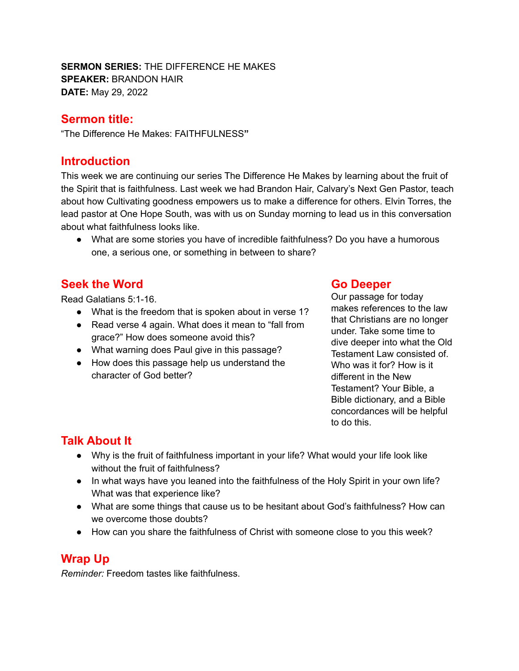**SERMON SERIES:** THE DIFFERENCE HE MAKES **SPEAKER:** BRANDON HAIR **DATE:** May 29, 2022

#### **Sermon title:**

"The Difference He Makes: FAITHFULNESS**"**

### **Introduction**

This week we are continuing our series The Difference He Makes by learning about the fruit of the Spirit that is faithfulness. Last week we had Brandon Hair, Calvary's Next Gen Pastor, teach about how Cultivating goodness empowers us to make a difference for others. Elvin Torres, the lead pastor at One Hope South, was with us on Sunday morning to lead us in this conversation about what faithfulness looks like.

● What are some stories you have of incredible faithfulness? Do you have a humorous one, a serious one, or something in between to share?

### **Seek the Word**

Read Galatians 5:1-16.

- What is the freedom that is spoken about in verse 1?
- Read verse 4 again. What does it mean to "fall from grace?" How does someone avoid this?
- What warning does Paul give in this passage?
- How does this passage help us understand the character of God better?

#### **Go Deeper**

Our passage for today makes references to the law that Christians are no longer under. Take some time to dive deeper into what the Old Testament Law consisted of. Who was it for? How is it different in the New Testament? Your Bible, a Bible dictionary, and a Bible concordances will be helpful to do this.

# **Talk About It**

- Why is the fruit of faithfulness important in your life? What would your life look like without the fruit of faithfulness?
- In what ways have you leaned into the faithfulness of the Holy Spirit in your own life? What was that experience like?
- What are some things that cause us to be hesitant about God's faithfulness? How can we overcome those doubts?
- How can you share the faithfulness of Christ with someone close to you this week?

# **Wrap Up**

*Reminder:* Freedom tastes like faithfulness.